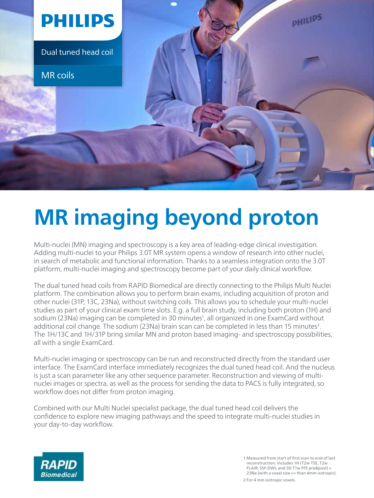

## **MR imaging beyond proton**

Multi-nuclei (MN) imaging and spectroscopy is a key area of leading-edge clinical investigation. Adding multi-nuclei to your Philips 3.0T MR system opens a window of research into other nuclei, in search of metabolic and functional information. Thanks to a seamless integration onto the 3.0T platform, multi-nuclei imaging and spectroscopy become part of your daily clinical workflow.

The dual tuned head coils from RAPID Biomedical are directly connecting to the Philips Multi Nuclei platform. The combination allows you to perform brain exams, including acquisition of proton and other nuclei (31P, 13C, 23Na), without switching coils. This allows you to schedule your multi-nuclei studies as part of your clinical exam time slots. E.g. a full brain study, including both proton (1H) and sodium (23Na) imaging can be completed in 30 minutes<sup>1</sup>, all organized in one ExamCard without additional coil change. The sodium (23Na) brain scan can be completed in less than 15 minutes<sup>2</sup>. The 1H/13C and 1H/31P bring similar MN and proton based imaging- and spectroscopy possibilities, all with a single ExamCard.

Multi-nuclei imaging or spectroscopy can be run and reconstructed directly from the standard user interface. The ExamCard interface immediately recognizes the dual tuned head coil. And the nucleus is just a scan parameter like any other sequence parameter. Reconstruction and viewing of multinuclei images or spectra, as well as the process for sending the data to PACS is fully integrated, so workflow does not differ from proton imaging.

Combined with our Multi Nuclei specialist package, the dual tuned head coil delivers the confidence to explore new imaging pathways and the speed to integrate multi-nuclei studies in your day-to-day workflow.



1 Measured from start of first scan to end of last reconstruction. Includes 1H (T2w TSE, T2w FLAIR, SSh DWI, and 3D T1w FFE pre&post) + 23Na (with a voxel size <= than 4mm isotropic). 2 For 4 mm isotropic voxels.